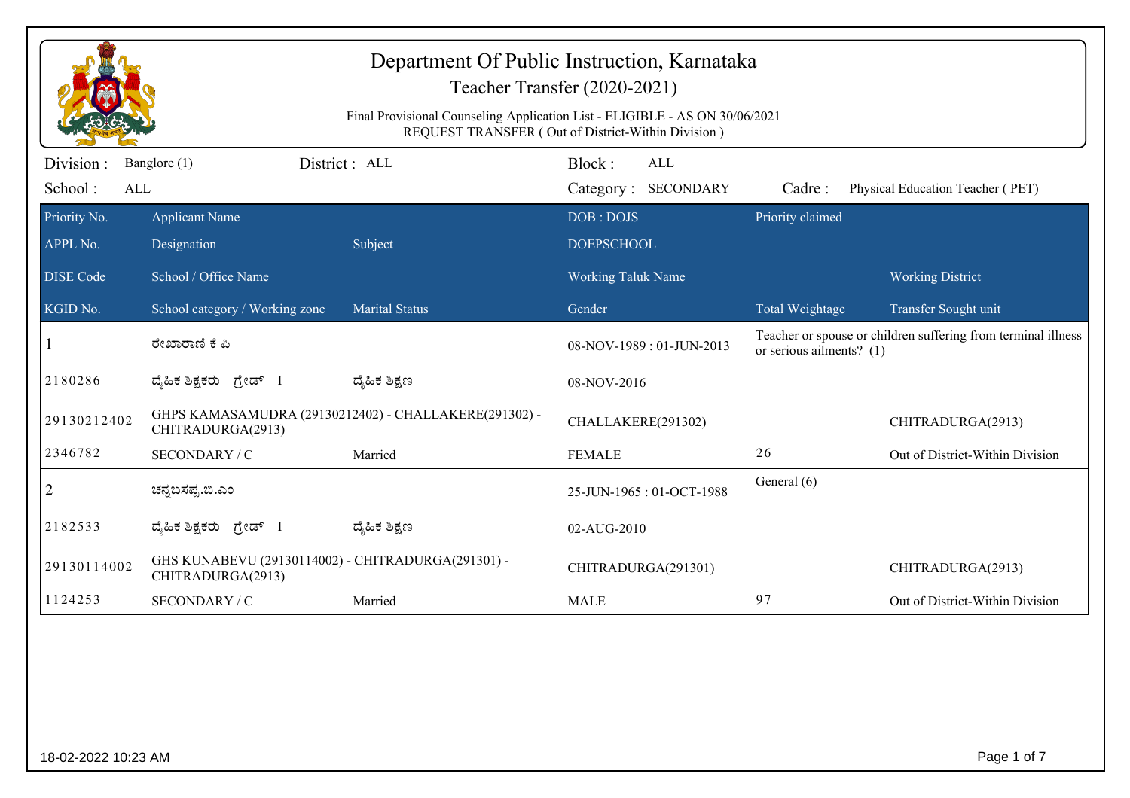| Department Of Public Instruction, Karnataka<br>Teacher Transfer (2020-2021)<br>Final Provisional Counseling Application List - ELIGIBLE - AS ON 30/06/2021<br>REQUEST TRANSFER (Out of District-Within Division) |                                                                         |                                                       |                                      |  |                                                                                             |                                  |  |
|------------------------------------------------------------------------------------------------------------------------------------------------------------------------------------------------------------------|-------------------------------------------------------------------------|-------------------------------------------------------|--------------------------------------|--|---------------------------------------------------------------------------------------------|----------------------------------|--|
| Division :<br>School:<br>ALL                                                                                                                                                                                     | Banglore (1)                                                            | District: ALL                                         | Block:<br>ALL<br>Category: SECONDARY |  | Cadre:                                                                                      | Physical Education Teacher (PET) |  |
| Priority No.<br>APPL No.                                                                                                                                                                                         | <b>Applicant Name</b><br>Designation                                    | Subject                                               | DOB: DOJS<br><b>DOEPSCHOOL</b>       |  | Priority claimed                                                                            |                                  |  |
| <b>DISE</b> Code                                                                                                                                                                                                 | School / Office Name                                                    |                                                       | <b>Working Taluk Name</b>            |  |                                                                                             | <b>Working District</b>          |  |
| KGID No.                                                                                                                                                                                                         | School category / Working zone                                          | <b>Marital Status</b>                                 | Gender                               |  | Total Weightage                                                                             | Transfer Sought unit             |  |
|                                                                                                                                                                                                                  | ರೇಖಾರಾಣಿ ಕೆ ಪಿ                                                          |                                                       | 08-NOV-1989: 01-JUN-2013             |  | Teacher or spouse or children suffering from terminal illness<br>or serious ailments? $(1)$ |                                  |  |
| 2180286                                                                                                                                                                                                          | ದೈಹಿಕ ಶಿಕ್ಷಕರು ಗ್ರೇಡ್ I                                                 | ದ್ಯೆಹಿಕ ಶಿಕ್ಷಣ                                        | 08-NOV-2016                          |  |                                                                                             |                                  |  |
| 29130212402                                                                                                                                                                                                      | CHITRADURGA(2913)                                                       | GHPS KAMASAMUDRA (29130212402) - CHALLAKERE(291302) - | CHALLAKERE(291302)                   |  |                                                                                             | CHITRADURGA(2913)                |  |
| 2346782                                                                                                                                                                                                          | SECONDARY / C                                                           | Married                                               | <b>FEMALE</b>                        |  | 26                                                                                          | Out of District-Within Division  |  |
| $\overline{2}$                                                                                                                                                                                                   | ಚನ್ನಬಸಪ್ಪ.ಬಿ.ಎಂ                                                         |                                                       | 25-JUN-1965: 01-OCT-1988             |  | General (6)                                                                                 |                                  |  |
| 2182533                                                                                                                                                                                                          | ದೈಹಿಕ ಶಿಕ್ಷಕರು ಗ್ರೇಡ್ I                                                 | ದ್ಮಹಿಕ ಶಿಕ್ಷಣ                                         | 02-AUG-2010                          |  |                                                                                             |                                  |  |
| 29130114002                                                                                                                                                                                                      | GHS KUNABEVU (29130114002) - CHITRADURGA(291301) -<br>CHITRADURGA(2913) |                                                       | CHITRADURGA(291301)                  |  |                                                                                             | CHITRADURGA(2913)                |  |
| 1124253                                                                                                                                                                                                          | SECONDARY / C                                                           | Married                                               | <b>MALE</b>                          |  | 97                                                                                          | Out of District-Within Division  |  |
|                                                                                                                                                                                                                  |                                                                         |                                                       |                                      |  |                                                                                             |                                  |  |
|                                                                                                                                                                                                                  | Page 1 of 7<br>18-02-2022 10:23 AM                                      |                                                       |                                      |  |                                                                                             |                                  |  |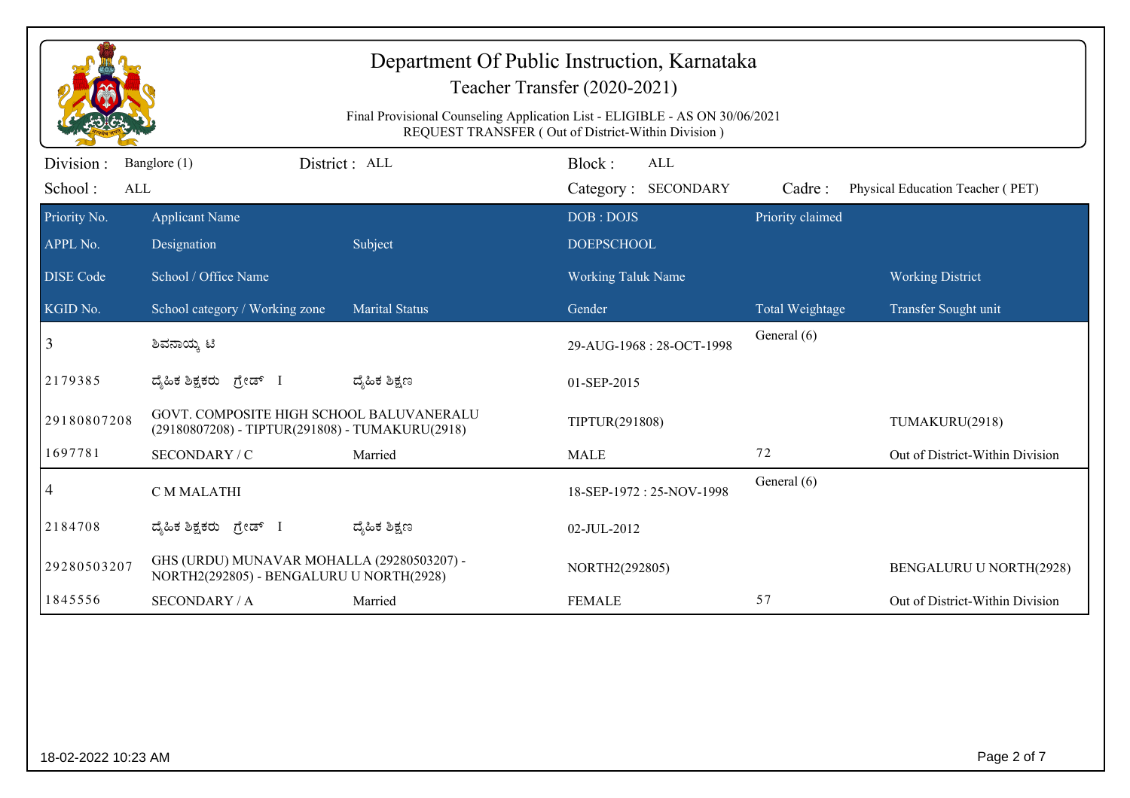| Department Of Public Instruction, Karnataka<br>Teacher Transfer (2020-2021)<br>Final Provisional Counseling Application List - ELIGIBLE - AS ON 30/06/2021<br>REQUEST TRANSFER (Out of District-Within Division) |                                                                                             |                       |                                             |                  |                                  |  |
|------------------------------------------------------------------------------------------------------------------------------------------------------------------------------------------------------------------|---------------------------------------------------------------------------------------------|-----------------------|---------------------------------------------|------------------|----------------------------------|--|
| Division:<br>School:<br>ALL                                                                                                                                                                                      | Banglore (1)                                                                                | District: ALL         | Block:<br><b>ALL</b><br>Category: SECONDARY | Cadre:           | Physical Education Teacher (PET) |  |
| Priority No.<br>APPL No.                                                                                                                                                                                         | <b>Applicant Name</b><br>Designation                                                        | Subject               | DOB: DOJS<br><b>DOEPSCHOOL</b>              | Priority claimed |                                  |  |
| <b>DISE Code</b>                                                                                                                                                                                                 | School / Office Name                                                                        |                       | <b>Working Taluk Name</b>                   |                  | <b>Working District</b>          |  |
| KGID No.                                                                                                                                                                                                         | School category / Working zone                                                              | <b>Marital Status</b> | Gender                                      | Total Weightage  | Transfer Sought unit             |  |
| $\mathfrak{Z}$                                                                                                                                                                                                   | ಶಿವನಾಯ್ಕ ಟಿ                                                                                 |                       | 29-AUG-1968: 28-OCT-1998                    | General (6)      |                                  |  |
| 2179385                                                                                                                                                                                                          | ದ್ಶೆಹಿಕ ಶಿಕ್ಷಕರು<br>ಗೇಡ್ I                                                                  | ದ್ಯಹಿಕ ಶಿಕ್ಷಣ         | 01-SEP-2015                                 |                  |                                  |  |
| 29180807208                                                                                                                                                                                                      | GOVT. COMPOSITE HIGH SCHOOL BALUVANERALU<br>(29180807208) - TIPTUR(291808) - TUMAKURU(2918) |                       | TIPTUR(291808)                              |                  | TUMAKURU(2918)                   |  |
| 1697781                                                                                                                                                                                                          | SECONDARY / C                                                                               | Married               | <b>MALE</b>                                 | 72               | Out of District-Within Division  |  |
| 4                                                                                                                                                                                                                | C M MALATHI                                                                                 |                       | 18-SEP-1972: 25-NOV-1998                    | General (6)      |                                  |  |
| 2184708                                                                                                                                                                                                          | ದೈಹಿಕ ಶಿಕ್ಷಕರು ಗ್ರೇಡ್ I                                                                     | ದೈಹಿಕ ಶಿಕ್ಷಣ          | 02-JUL-2012                                 |                  |                                  |  |
| 29280503207                                                                                                                                                                                                      | GHS (URDU) MUNAVAR MOHALLA (29280503207) -<br>NORTH2(292805) - BENGALURU U NORTH(2928)      |                       | NORTH2(292805)                              |                  | <b>BENGALURU U NORTH(2928)</b>   |  |
| 1845556                                                                                                                                                                                                          | <b>SECONDARY / A</b>                                                                        | Married               | <b>FEMALE</b>                               | 57               | Out of District-Within Division  |  |
|                                                                                                                                                                                                                  |                                                                                             |                       |                                             |                  |                                  |  |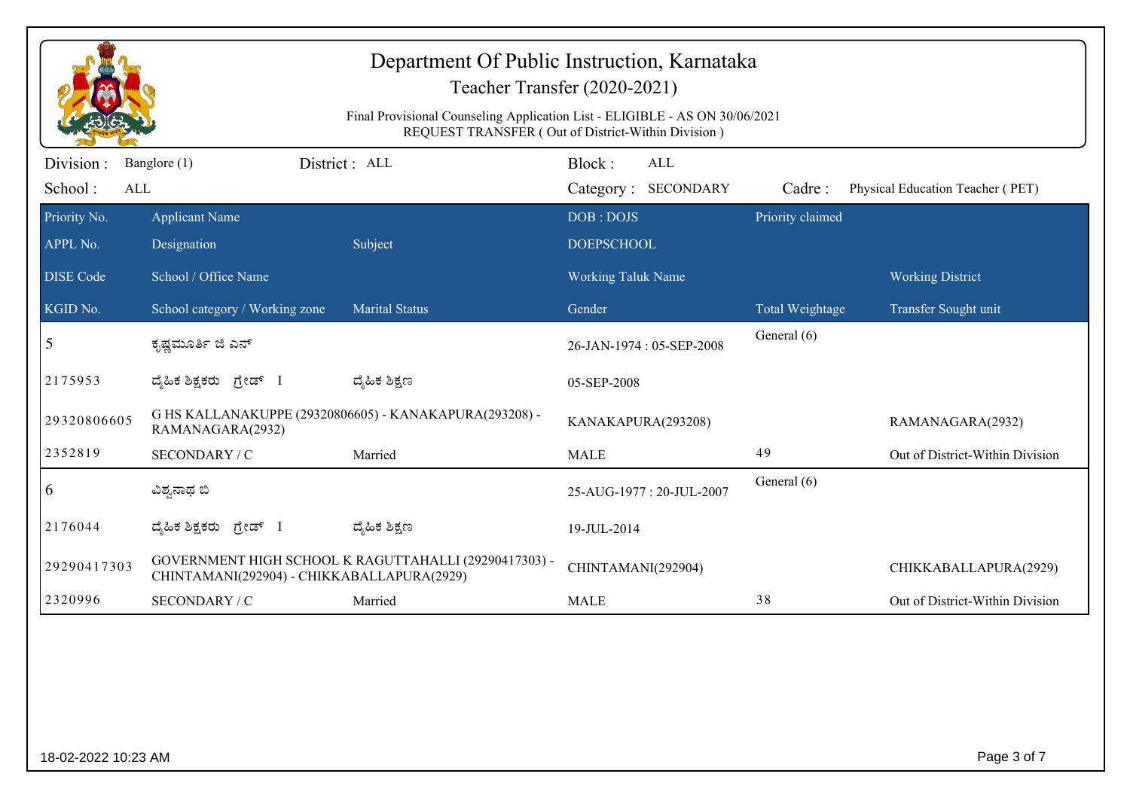| Department Of Public Instruction, Karnataka<br>Teacher Transfer (2020-2021)<br>Final Provisional Counseling Application List - ELIGIBLE - AS ON 30/06/2021<br>REQUEST TRANSFER (Out of District-Within Division) |                                                        |                                                        |                                                                                           |                  |                                                 |  |
|------------------------------------------------------------------------------------------------------------------------------------------------------------------------------------------------------------------|--------------------------------------------------------|--------------------------------------------------------|-------------------------------------------------------------------------------------------|------------------|-------------------------------------------------|--|
| Division :<br>School:<br>ALL                                                                                                                                                                                     | Banglore (1)                                           | District : ALL                                         | Block:<br><b>ALL</b><br>Category: SECONDARY<br>Cadre:<br>Physical Education Teacher (PET) |                  |                                                 |  |
| Priority No.<br>APPL No.                                                                                                                                                                                         | <b>Applicant Name</b><br>Designation                   | Subject                                                | DOB: DOJS<br><b>DOEPSCHOOL</b>                                                            | Priority claimed |                                                 |  |
| <b>DISE</b> Code<br>KGID No.                                                                                                                                                                                     | School / Office Name<br>School category / Working zone | <b>Marital Status</b>                                  | <b>Working Taluk Name</b><br>Gender                                                       | Total Weightage  | <b>Working District</b><br>Transfer Sought unit |  |
| 5                                                                                                                                                                                                                | ಕೃಷ್ಣಮೂರ್ತಿ ಜಿ ಎನ್                                     |                                                        | 26-JAN-1974: 05-SEP-2008                                                                  | General (6)      |                                                 |  |
| 2175953                                                                                                                                                                                                          | ದ್ಯಹಿಕ ಶಿಕ್ಷಕರು ಗ್ರೇಡ್ I                               | ದ್ಮಹಿಕ ಶಿಕ್ಷಣ                                          | 05-SEP-2008                                                                               |                  |                                                 |  |
| 29320806605                                                                                                                                                                                                      | RAMANAGARA(2932)                                       | G HS KALLANAKUPPE (29320806605) - KANAKAPURA(293208) - | KANAKAPURA(293208)                                                                        |                  | RAMANAGARA(2932)                                |  |
| 2352819                                                                                                                                                                                                          | SECONDARY / C                                          | Married                                                | <b>MALE</b>                                                                               | 49               | Out of District-Within Division                 |  |
| 6                                                                                                                                                                                                                | ವಿಶ್ವನಾಥ ಬಿ                                            |                                                        | 25-AUG-1977: 20-JUL-2007                                                                  | General (6)      |                                                 |  |
| 2176044                                                                                                                                                                                                          | ದ್ಯಹಿಕ ಶಿಕ್ಷಕರು<br>ಗ್ರೇಡ್ I                            | ದ್ಮಹಿಕ ಶಿಕ್ಷಣ                                          | 19-JUL-2014                                                                               |                  |                                                 |  |
| 29290417303                                                                                                                                                                                                      | CHINTAMANI(292904) - CHIKKABALLAPURA(2929)             | GOVERNMENT HIGH SCHOOL K RAGUTTAHALLI (29290417303) -  | CHINTAMANI(292904)                                                                        |                  | CHIKKABALLAPURA(2929)                           |  |
| 2320996                                                                                                                                                                                                          | SECONDARY / C                                          | Married                                                | <b>MALE</b>                                                                               | 38               | Out of District-Within Division                 |  |
|                                                                                                                                                                                                                  |                                                        |                                                        |                                                                                           |                  |                                                 |  |
|                                                                                                                                                                                                                  | Page 3 of 7<br>18-02-2022 10:23 AM                     |                                                        |                                                                                           |                  |                                                 |  |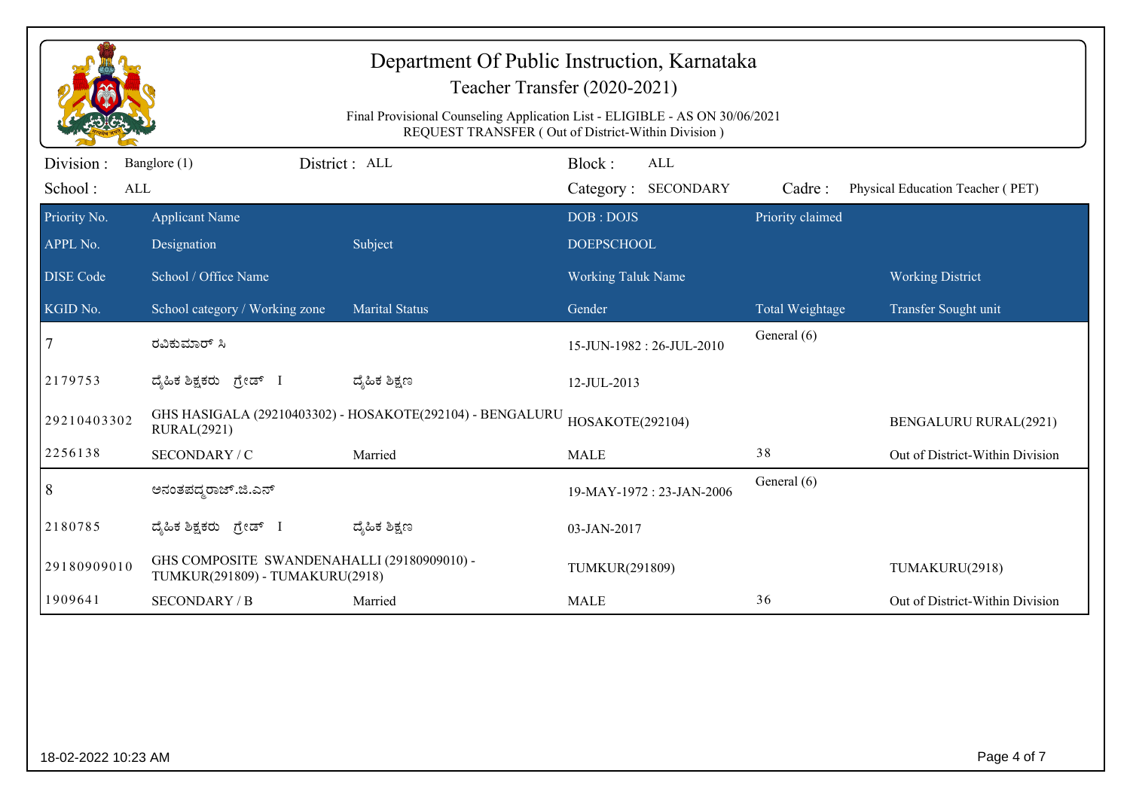| Department Of Public Instruction, Karnataka<br>Teacher Transfer (2020-2021)<br>Final Provisional Counseling Application List - ELIGIBLE - AS ON 30/06/2021<br>REQUEST TRANSFER (Out of District-Within Division) |                                                                                |                                                           |                                             |                                |                                  |  |  |
|------------------------------------------------------------------------------------------------------------------------------------------------------------------------------------------------------------------|--------------------------------------------------------------------------------|-----------------------------------------------------------|---------------------------------------------|--------------------------------|----------------------------------|--|--|
| Division :<br>School:<br>ALL                                                                                                                                                                                     | Banglore (1)                                                                   | District: ALL                                             | Block:<br><b>ALL</b><br>Category: SECONDARY | Cadre:                         | Physical Education Teacher (PET) |  |  |
| Priority No.<br>APPL No.                                                                                                                                                                                         | <b>Applicant Name</b><br>Designation                                           | Subject                                                   | DOB: DOJS<br><b>DOEPSCHOOL</b>              | Priority claimed               |                                  |  |  |
| <b>DISE Code</b>                                                                                                                                                                                                 | School / Office Name                                                           |                                                           | <b>Working Taluk Name</b>                   |                                | <b>Working District</b>          |  |  |
| KGID No.<br>7                                                                                                                                                                                                    | School category / Working zone<br>ರವಿಕುಮಾರ್ ಸಿ                                 | <b>Marital Status</b>                                     | Gender<br>15-JUN-1982: 26-JUL-2010          | Total Weightage<br>General (6) | Transfer Sought unit             |  |  |
| 2179753                                                                                                                                                                                                          | ದ್ಯಹಿಕ ಶಿಕ್ಷಕರು ಗ್ರೇಡ್ I                                                       | ದ್ಮಹಿಕ ಶಿಕ್ಷಣ                                             | 12-JUL-2013                                 |                                |                                  |  |  |
| 29210403302                                                                                                                                                                                                      | <b>RURAL(2921)</b>                                                             | GHS HASIGALA (29210403302) - HOSAKOTE(292104) - BENGALURU | HOSAKOTE(292104)                            |                                | <b>BENGALURU RURAL(2921)</b>     |  |  |
| 2256138                                                                                                                                                                                                          | SECONDARY / C                                                                  | Married                                                   | <b>MALE</b>                                 | 38                             | Out of District-Within Division  |  |  |
| 8                                                                                                                                                                                                                | ಅನಂತಪದ್ಮರಾಜ್.ಜಿ.ಎನ್                                                            |                                                           | 19-MAY-1972: 23-JAN-2006                    | General (6)                    |                                  |  |  |
| 2180785                                                                                                                                                                                                          | ದ್ಯಹಿಕ ಶಿಕ್ಷಕರು ಗ್ರೇಡ್ I                                                       | ದ್ಯೆಹಿಕ ಶಿಕ್ಷಣ                                            | 03-JAN-2017                                 |                                |                                  |  |  |
| 29180909010                                                                                                                                                                                                      | GHS COMPOSITE SWANDENAHALLI (29180909010) -<br>TUMKUR(291809) - TUMAKURU(2918) |                                                           | TUMKUR(291809)                              |                                | TUMAKURU(2918)                   |  |  |
| 1909641                                                                                                                                                                                                          | <b>SECONDARY / B</b>                                                           | Married                                                   | <b>MALE</b>                                 | 36                             | Out of District-Within Division  |  |  |
|                                                                                                                                                                                                                  |                                                                                |                                                           |                                             |                                |                                  |  |  |
|                                                                                                                                                                                                                  | Page 4 of 7<br>18-02-2022 10:23 AM                                             |                                                           |                                             |                                |                                  |  |  |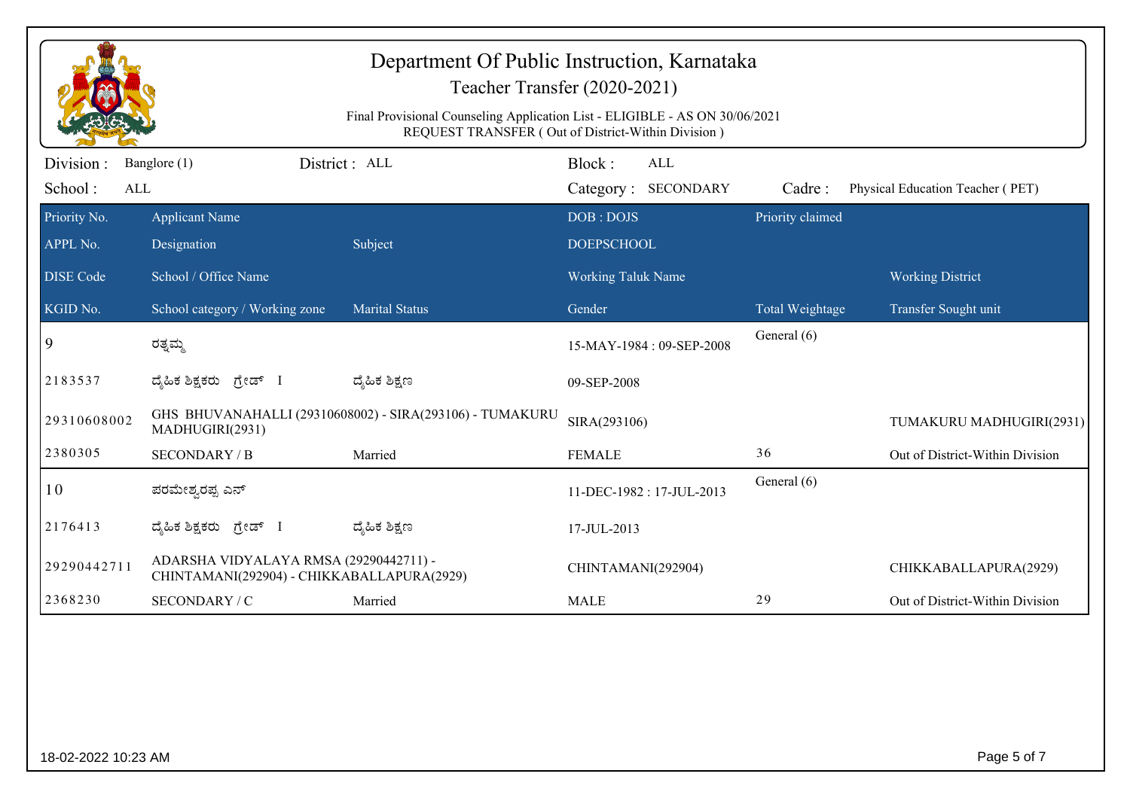| Department Of Public Instruction, Karnataka<br>Teacher Transfer (2020-2021)<br>Final Provisional Counseling Application List - ELIGIBLE - AS ON 30/06/2021<br>REQUEST TRANSFER (Out of District-Within Division) |                                                                                      |                                                          |                                |                                   |                  |                                  |
|------------------------------------------------------------------------------------------------------------------------------------------------------------------------------------------------------------------|--------------------------------------------------------------------------------------|----------------------------------------------------------|--------------------------------|-----------------------------------|------------------|----------------------------------|
| Division :<br>School:<br>ALL                                                                                                                                                                                     | Banglore (1)                                                                         | District: ALL                                            | Block:                         | <b>ALL</b><br>Category: SECONDARY | Cadre:           | Physical Education Teacher (PET) |
| Priority No.<br>APPL No.                                                                                                                                                                                         | <b>Applicant Name</b><br>Designation                                                 | Subject                                                  | DOB: DOJS<br><b>DOEPSCHOOL</b> |                                   | Priority claimed |                                  |
| <b>DISE</b> Code                                                                                                                                                                                                 | School / Office Name                                                                 |                                                          | <b>Working Taluk Name</b>      |                                   |                  | <b>Working District</b>          |
| KGID No.                                                                                                                                                                                                         | School category / Working zone                                                       | <b>Marital Status</b>                                    | Gender                         |                                   | Total Weightage  | Transfer Sought unit             |
| 9                                                                                                                                                                                                                | ರತ್ನಮ್ಮ                                                                              |                                                          |                                | 15-MAY-1984: 09-SEP-2008          | General (6)      |                                  |
| 2183537                                                                                                                                                                                                          | ದ್ಯಹಿಕ ಶಿಕ್ಷಕರು <i>ಗ್ರೇ</i> ಡ್ I                                                     | ದ್ಮಹಿಕ ಶಿಕ್ಷಣ                                            | 09-SEP-2008                    |                                   |                  |                                  |
| 29310608002                                                                                                                                                                                                      | MADHUGIRI(2931)                                                                      | GHS BHUVANAHALLI (29310608002) - SIRA(293106) - TUMAKURU | SIRA(293106)                   |                                   |                  | TUMAKURU MADHUGIRI(2931)         |
| 2380305                                                                                                                                                                                                          | <b>SECONDARY / B</b>                                                                 | Married                                                  | <b>FEMALE</b>                  |                                   | 36               | Out of District-Within Division  |
| 10                                                                                                                                                                                                               | ಪರಮೇಶ್ವರಪ್ಪ ಎನ್                                                                      |                                                          |                                | 11-DEC-1982: 17-JUL-2013          | General (6)      |                                  |
| 2176413                                                                                                                                                                                                          | ದ್ಯಹಿಕ ಶಿಕ್ಷಕರು ಗ್ರೇಡ್ I                                                             | ದ್ಶೆಹಿಕ ಶಿಕ್ಷಣ                                           | 17-JUL-2013                    |                                   |                  |                                  |
| 29290442711                                                                                                                                                                                                      | ADARSHA VIDYALAYA RMSA (29290442711) -<br>CHINTAMANI(292904) - CHIKKABALLAPURA(2929) |                                                          | CHINTAMANI(292904)             |                                   |                  | CHIKKABALLAPURA(2929)            |
| 2368230                                                                                                                                                                                                          | SECONDARY / C                                                                        | Married                                                  | <b>MALE</b>                    |                                   | 29               | Out of District-Within Division  |
|                                                                                                                                                                                                                  |                                                                                      |                                                          |                                |                                   |                  |                                  |
| Page 5 of 7<br>18-02-2022 10:23 AM                                                                                                                                                                               |                                                                                      |                                                          |                                |                                   |                  |                                  |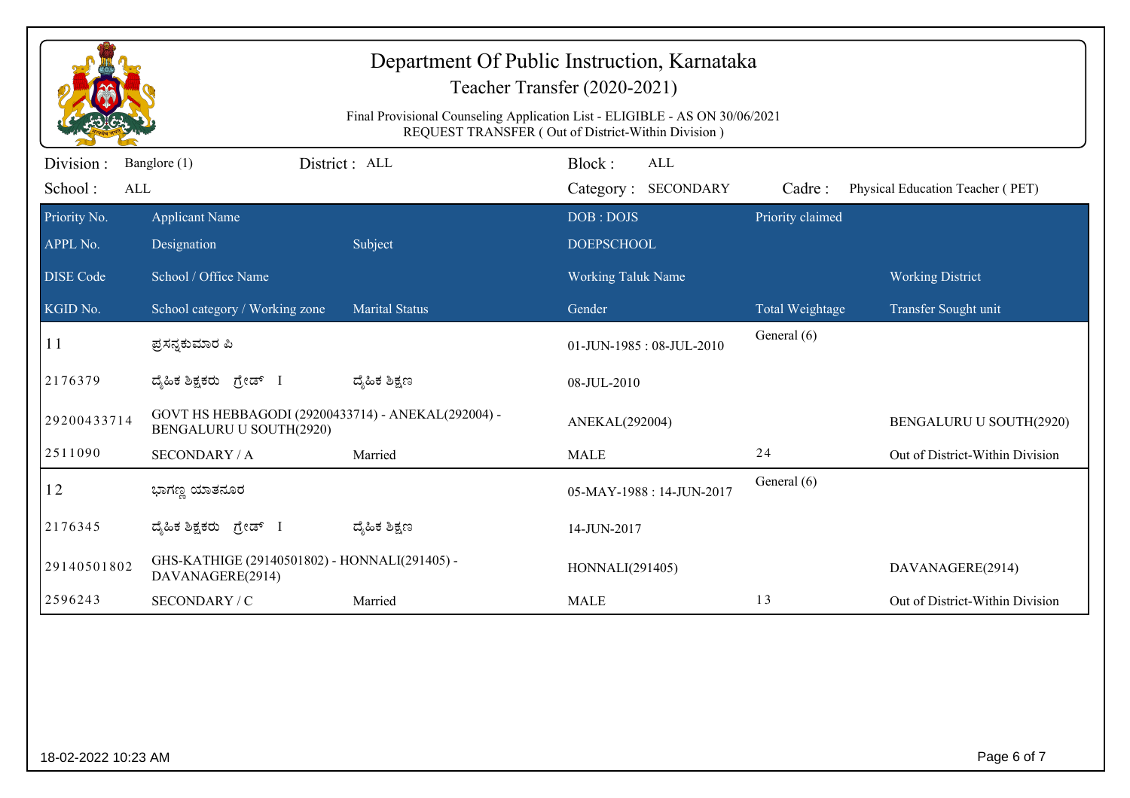| Department Of Public Instruction, Karnataka<br>Teacher Transfer (2020-2021)                                                       |                                                                               |                       |                                             |                  |                                                 |  |  |
|-----------------------------------------------------------------------------------------------------------------------------------|-------------------------------------------------------------------------------|-----------------------|---------------------------------------------|------------------|-------------------------------------------------|--|--|
| Final Provisional Counseling Application List - ELIGIBLE - AS ON 30/06/2021<br>REQUEST TRANSFER (Out of District-Within Division) |                                                                               |                       |                                             |                  |                                                 |  |  |
| Division:<br>School:<br>ALL                                                                                                       | Banglore (1)                                                                  | District : ALL        | Block:<br><b>ALL</b><br>Category: SECONDARY | Cadre:           | Physical Education Teacher (PET)                |  |  |
| Priority No.<br>APPL No.                                                                                                          | <b>Applicant Name</b><br>Designation                                          | Subject               | DOB: DOJS<br><b>DOEPSCHOOL</b>              | Priority claimed |                                                 |  |  |
| <b>DISE</b> Code<br>KGID No.                                                                                                      | School / Office Name<br>School category / Working zone                        | <b>Marital Status</b> | Working Taluk Name<br>Gender                | Total Weightage  | <b>Working District</b><br>Transfer Sought unit |  |  |
| 11                                                                                                                                | ಪ್ರಸನ್ನಕುಮಾರ ಪಿ                                                               |                       | 01-JUN-1985: 08-JUL-2010                    | General (6)      |                                                 |  |  |
| 2176379                                                                                                                           | ದ್ಯಹಿಕ ಶಿಕ್ಷಕರು ಗ್ರೇಡ್ I                                                      | ದ್ಶೆಹಿಕ ಶಿಕ್ಷಣ        | 08-JUL-2010                                 |                  |                                                 |  |  |
| 29200433714                                                                                                                       | GOVT HS HEBBAGODI (29200433714) - ANEKAL(292004) -<br>BENGALURU U SOUTH(2920) |                       | ANEKAL(292004)                              |                  | BENGALURU U SOUTH(2920)                         |  |  |
| 2511090                                                                                                                           | <b>SECONDARY / A</b>                                                          | Married               | <b>MALE</b>                                 | 24               | Out of District-Within Division                 |  |  |
| 12                                                                                                                                | ಭಾಗಣ್ಣ ಯಾತನೂರ                                                                 |                       | 05-MAY-1988: 14-JUN-2017                    | General (6)      |                                                 |  |  |
| 2176345                                                                                                                           | ದ್ಯಹಿಕ ಶಿಕ್ಷಕರು ಗ್ರೇಡ್ I                                                      | ದ್ಶೆಹಿಕ ಶಿಕ್ಷಣ        | 14-JUN-2017                                 |                  |                                                 |  |  |
| 29140501802                                                                                                                       | GHS-KATHIGE (29140501802) - HONNALI(291405) -<br>DAVANAGERE(2914)             |                       | HONNALI(291405)                             |                  | DAVANAGERE(2914)                                |  |  |
| 2596243                                                                                                                           | SECONDARY / C                                                                 | Married               | <b>MALE</b>                                 | 13               | Out of District-Within Division                 |  |  |
|                                                                                                                                   |                                                                               |                       |                                             |                  |                                                 |  |  |